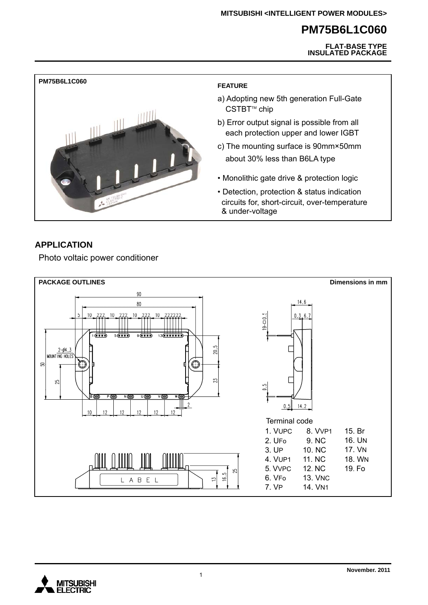#### **FLAT-BASE TYPE INSULATED PACKAGE**



### **APPLICATION**

Photo voltaic power conditioner

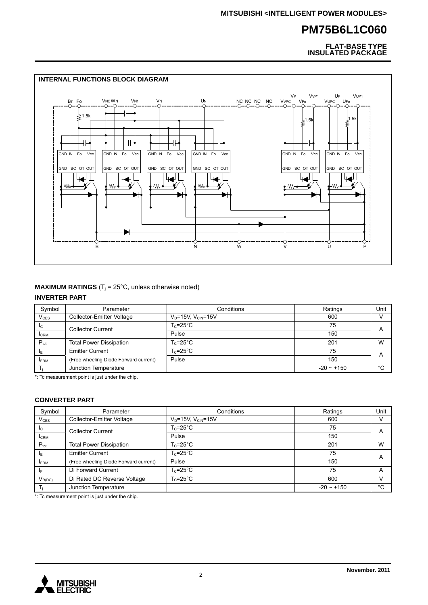**FLAT-BASE TYPE INSULATED PACKAGE**



#### **MAXIMUM RATINGS**  $(T_i = 25^{\circ}C$ , unless otherwise noted)

### **INVERTER PART**

| Symbol           | Parameter                             | Conditions                      | Ratings     | Unit |
|------------------|---------------------------------------|---------------------------------|-------------|------|
| $V_{CES}$        | Collector-Emitter Voltage             | $V_{D} = 15V$ , $V_{CIN} = 15V$ | 600         |      |
| <sub>Ic</sub>    | <b>Collector Current</b>              | $T_c = 25^{\circ}$ C            | 75          | A    |
| <b>I</b> CRM     |                                       | Pulse                           | 150         |      |
| $P_{\text{tot}}$ | <b>Total Power Dissipation</b>        | $T_c = 25^{\circ}$ C            | 201         | W    |
| IF               | <b>Emitter Current</b>                | $T_c = 25^\circ C$              | 75          | A    |
| <b>ERM</b>       | (Free wheeling Diode Forward current) | Pulse                           | 150         |      |
|                  | Junction Temperature                  |                                 | $-20 - 150$ | °C   |

\*: Tc measurement point is just under the chip.

#### **CONVERTER PART**

| Symbol           | Parameter                             | Conditions                    | Ratings         | Unit           |
|------------------|---------------------------------------|-------------------------------|-----------------|----------------|
| $V_{CES}$        | Collector-Emitter Voltage             | $V_D = 15V$ , $V_{CIN} = 15V$ | 600             |                |
| $I_{\rm C}$      | <b>Collector Current</b>              | $T_c = 25^{\circ}$ C          | 75              | $\overline{A}$ |
| <b>I</b> CRM     |                                       | Pulse                         | 150             |                |
| $P_{\text{tot}}$ | <b>Total Power Dissipation</b>        | $T_c = 25^{\circ}$ C          | 201             | W              |
| IΕ               | <b>Emitter Current</b>                | $T_c = 25^{\circ}$ C          | 75              | $\overline{A}$ |
| <b>ERM</b>       | (Free wheeling Diode Forward current) | Pulse                         | 150             |                |
| ΙF               | Di Forward Current                    | $T_c = 25^{\circ}$ C          | 75              | A              |
| $V_{R(DC)}$      | Di Rated DC Reverse Voltage           | $T_c = 25^{\circ}$ C          | 600             |                |
|                  | Junction Temperature                  |                               | $-20 \sim +150$ | °C             |

\*: Tc measurement point is just under the chip.

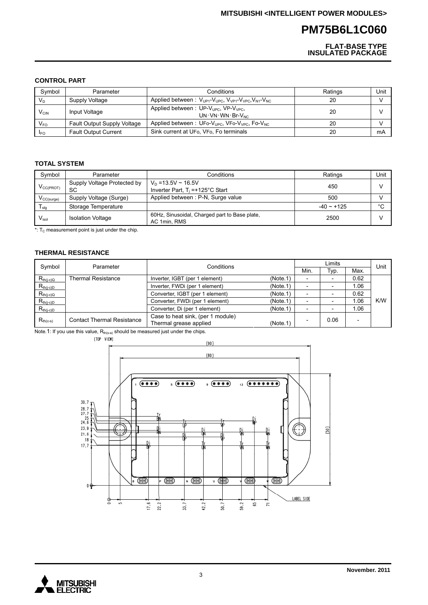**FLAT-BASE TYPE INSULATED PACKAGE**

#### **CONTROL PART**

| Symbol         | Parameter                   | Conditions                                                                                                   | Ratings | Unit |
|----------------|-----------------------------|--------------------------------------------------------------------------------------------------------------|---------|------|
| $V_{\text{D}}$ | Supply Voltage              | Applied between: $V_{UP1}$ - $V_{UPC}$ , $V_{VP1}$ - $V_{VPC}$ , $V_{NI}$ - $V_{NC}$                         | 20      |      |
| $V_{\rm CIN}$  | Input Voltage               | Applied between: UP-V <sub>UPC</sub> , VP-V <sub>VPC</sub> ,<br>$UN \cdot VN \cdot WN \cdot Br \cdot V_{NC}$ | 20      |      |
| $V_{FO}$       | Fault Output Supply Voltage | Applied between: UFo-V <sub>UPC</sub> , VFo-V <sub>VPC</sub> , Fo-V <sub>NC</sub>                            | 20      |      |
| <b>IFO</b>     | <b>Fault Output Current</b> | Sink current at UF <sub>o</sub> , VF <sub>o</sub> , Fo terminals                                             | 20      | mA   |

#### **TOTAL SYSTEM**

| Symbol          | Parameter                         | Conditions                                                            | Ratings         | Unit   |
|-----------------|-----------------------------------|-----------------------------------------------------------------------|-----------------|--------|
| $V_{CC(PROT)}$  | Supply Voltage Protected by<br>SC | $V_D = 13.5V \sim 16.5V$<br>Inverter Part, $T_i = +125^\circ C$ Start | 450             |        |
| $V_{CC(surge)}$ | Supply Voltage (Surge)            | Applied between: P-N, Surge value                                     | 500             |        |
| I stg           | Storage Temperature               |                                                                       | $-40 \sim +125$ | $\sim$ |
| $V_{\sf isol}$  | <b>Isolation Voltage</b>          | 60Hz, Sinusoidal, Charged part to Base plate,<br>AC 1min, RMS         | 2500            |        |

 $*$ : T<sub>c</sub> measurement point is just under the chip.

#### **THERMAL RESISTANCE**

| Symbol         | Conditions<br>Parameter           |                                   |          | Limits |      |      | Unit |
|----------------|-----------------------------------|-----------------------------------|----------|--------|------|------|------|
|                |                                   |                                   |          | Min.   | Typ. | Max. |      |
| $R_{th(j-c)Q}$ | <b>Thermal Resistance</b>         | Inverter, IGBT (per 1 element)    | (Note.1) |        |      | 0.62 |      |
| $R_{th(j-c)D}$ |                                   | Inverter, FWDi (per 1 element)    | (Note.1) |        |      | 1.06 |      |
| $R_{th(j-c)Q}$ |                                   | Converter, IGBT (per 1 element)   | (Note.1) |        |      | 0.62 |      |
| $R_{th(j-c)D}$ |                                   | Converter, FWDi (per 1 element)   | (Note.1) |        |      | 1.06 | K/W  |
| $R_{th(j-c)D}$ |                                   | Converter, Di (per 1 element)     | (Note.1) |        |      | 1.06 |      |
| $R_{th(c-s)}$  | <b>Contact Thermal Resistance</b> | Case to heat sink, (per 1 module) |          |        | 0.06 |      |      |
|                |                                   | Thermal grease applied            | (Note.1) |        |      |      |      |

Note.1: If you use this value,  $R_{th(s-a)}$  should be measured just under the chips.



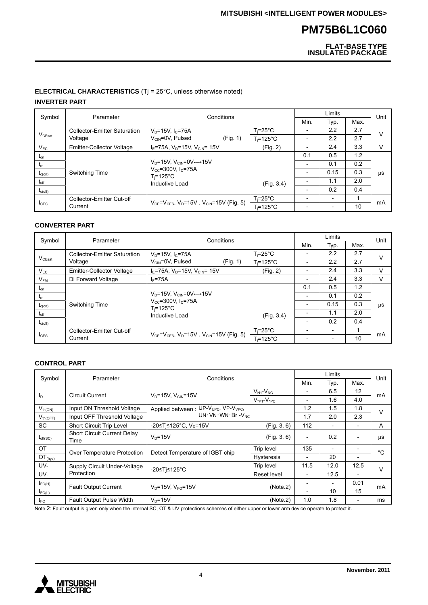**FLAT-BASE TYPE INSULATED PACKAGE**

### **ELECTRICAL CHARACTERISTICS** (Tj = 25°C, unless otherwise noted) **INVERTER PART**

| Symbol               | Parameter                           | Conditions                                                  |                    |      | Limits                   |      |        |
|----------------------|-------------------------------------|-------------------------------------------------------------|--------------------|------|--------------------------|------|--------|
|                      |                                     |                                                             |                    | Min. | Typ.                     | Max. | Unit   |
|                      | <b>Collector-Emitter Saturation</b> | $V_D = 15V$ , I <sub>C</sub> =75A                           | T.=25°C            |      | 2.2                      | 2.7  | ν      |
| $V_{CEsat}$          | Voltage                             | $V_{\text{CIN}} = 0V$ , Pulsed<br>(Fig. 1)                  | $T = 125^{\circ}C$ |      | 2.2                      | 2.7  |        |
| $V_{EC}$             | Emitter-Collector Voltage           | $I_F$ =75A, V <sub>D</sub> =15V, V <sub>CIN</sub> = 15V     | (Fig. 2)           |      | 2.4                      | 3.3  | $\vee$ |
| $t_{\text{on}}$      |                                     |                                                             |                    | 0.1  | 0.5                      | 1.2  |        |
| $t_{rr}$             |                                     | $V_D = 15V$ , $V_{CIN} = 0V \leftrightarrow 15V$            |                    |      | 0.1                      | 0.2  |        |
| $t_{c(on)}$          | Switching Time                      | $V_{CC} = 300V, I_C = 75A$<br>$T_i = 125^{\circ}C$          |                    |      | 0.15                     | 0.3  | μS     |
| $t_{\text{off}}$     |                                     | Inductive Load                                              | (Fiq. 3, 4)        |      | 1.1                      | 2.0  |        |
| $t_{c(off)}$         |                                     |                                                             |                    |      | 0.2                      | 0.4  |        |
|                      | Collector-Emitter Cut-off           |                                                             | $T_i = 25^\circ C$ |      | $\overline{\phantom{0}}$ |      | mA     |
| $I_{CES}$<br>Current |                                     | $V_{CE} = V_{CES}$ , $V_D = 15V$ , $V_{CIN} = 15V$ (Fig. 5) | $T_i = 125$ °C     |      | $\overline{\phantom{0}}$ | 10   |        |

### **CONVERTER PART**

| Symbol           | Parameter                                                              | Conditions                                                     |          |                    | Unit                     |                          |      |        |
|------------------|------------------------------------------------------------------------|----------------------------------------------------------------|----------|--------------------|--------------------------|--------------------------|------|--------|
|                  |                                                                        |                                                                |          |                    | Min.                     | Tур.                     | Max. |        |
|                  | Collector-Emitter Saturation                                           | $V_p = 15V$ , $I_c = 75A$                                      |          | T.=25°C            | $\overline{\phantom{0}}$ | 2.2                      | 2.7  | ν      |
| $V_{CEsat}$      | Voltage                                                                | $V_{\text{CIN}} = 0V$ , Pulsed                                 | (Fig. 1) | $T = 125^{\circ}C$ | $\overline{\phantom{a}}$ | 2.2                      | 2.7  |        |
| $V_{EC}$         | <b>Emitter-Collector Voltage</b>                                       | $I_F$ =75A, $V_D$ =15V, $V_{CIN}$ = 15V                        |          | (Fig. 2)           | $\overline{\phantom{0}}$ | 2.4                      | 3.3  | v      |
| V <sub>FM</sub>  | Di Forward Voltage                                                     | $I_F = 75A$                                                    |          |                    | $\overline{\phantom{a}}$ | 2.4                      | 3.3  | $\vee$ |
| $t_{\text{on}}$  |                                                                        | $V_D = 15V$ , $V_{CIN} = 0V \leftrightarrow 15V$               |          |                    | 0.1                      | 0.5                      | 1.2  |        |
| $t_{rr}$         |                                                                        |                                                                |          |                    | $\overline{\phantom{0}}$ | 0.1                      | 0.2  |        |
| $t_{c(on)}$      | Switching Time                                                         | $V_{\rm cc}$ =300V, I $_{\rm c}$ =75A<br>$T_i = 125^{\circ}$ C |          |                    | $\overline{\phantom{0}}$ | 0.15                     | 0.3  | μS     |
| $t_{\text{off}}$ |                                                                        | Inductive Load                                                 |          | (Fiq. 3, 4)        |                          | 1.1                      | 2.0  |        |
| $t_{c(off)}$     |                                                                        |                                                                |          |                    | $\overline{\phantom{0}}$ | 0.2                      | 0.4  |        |
|                  | Collector-Emitter Cut-off                                              |                                                                |          | $T = 25^{\circ}C$  | $\overline{\phantom{a}}$ | $\overline{\phantom{a}}$ |      |        |
| $I_{CES}$        | $V_{CE} = V_{CES}$ , $V_D = 15V$ , $V_{CIN} = 15V$ (Fig. 5)<br>Current |                                                                |          | $T = 125^{\circ}C$ |                          |                          | 10   | mA     |

### **CONTROL PART**

| Symbol                      | Parameter                                  | Conditions                                                   |                               |                          | Unit                     |                          |             |
|-----------------------------|--------------------------------------------|--------------------------------------------------------------|-------------------------------|--------------------------|--------------------------|--------------------------|-------------|
|                             |                                            |                                                              |                               | Min.                     | Typ.                     | Max.                     |             |
|                             | Circuit Current                            | $V_{D}$ =15V, $V_{CID}$ =15V                                 | $V_{N1}$ - $V_{NC}$           | $\overline{a}$           | 6.5                      | 12                       | mA          |
| I <sub>D</sub>              |                                            |                                                              | $V_{\rm *p1}$ - $V_{\rm *p2}$ | $\overline{\phantom{0}}$ | 1.6                      | 4.0                      |             |
| $V_{th(ON)}$                | Input ON Threshold Voltage                 | Applied between: UP-V <sub>UPC</sub> , VP-V <sub>VPC</sub> , |                               | 1.2                      | 1.5                      | 1.8                      | v           |
| $V_{th(OFF)}$               | Input OFF Threshold Voltage                | $UN \cdot VN \cdot WN \cdot Br - V_{NC}$                     |                               | 1.7                      | 2.0                      | 2.3                      |             |
| <b>SC</b>                   | Short Circuit Trip Level                   | -20≤T <sub>i</sub> ≤125°C, V <sub>D</sub> =15V               | (Fig. 3, 6)                   | 112                      | $\overline{\phantom{0}}$ | $\overline{\phantom{a}}$ | A           |
| $t_{\text{off}(\text{SC})}$ | <b>Short Circuit Current Delay</b><br>Time | $VD=15V$                                                     | (Fig. 3, 6)                   | $\overline{a}$           | 0.2                      | $\overline{\phantom{a}}$ | μS          |
| OT                          | Over Temperature Protection                | Detect Temperature of IGBT chip                              | Trip level                    | 135                      | $\overline{\phantom{a}}$ | $\overline{\phantom{a}}$ | $^{\circ}C$ |
| $OT_{(hys)}$                |                                            |                                                              | <b>Hysteresis</b>             | $\overline{\phantom{0}}$ | 20                       | $\overline{\phantom{a}}$ |             |
| $UV_t$                      | Supply Circuit Under-Voltage               |                                                              | Trip level                    | 11.5                     | 12.0                     | 12.5                     | v           |
| UV <sub>r</sub>             | Protection                                 | -20≤Tj≤125°C                                                 | Reset level                   | $\overline{\phantom{0}}$ | 12.5                     | $\overline{\phantom{a}}$ |             |
| FO(H)                       |                                            | $V_D = 15V$ , $V_{FO} = 15V$                                 | (Note.2)                      |                          | $\overline{\phantom{0}}$ | 0.01                     | mA          |
| $I_{FO(L)}$                 | <b>Fault Output Current</b>                |                                                              |                               |                          | 10                       | 15                       |             |
| t <sub>FO</sub>             | Fault Output Pulse Width                   | $V_D = 15V$                                                  | (Note.2)                      | 1.0                      | 1.8                      | $\overline{\phantom{a}}$ | ms          |

Note.2: Fault output is given only when the internal SC, OT & UV protections schemes of either upper or lower arm device operate to protect it.

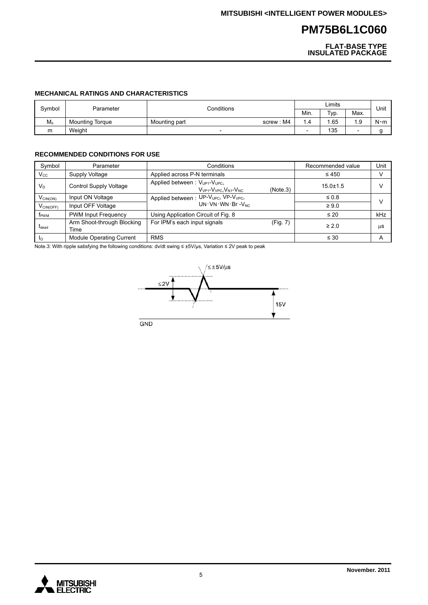**FLAT-BASE TYPE INSULATED PACKAGE**

### **MECHANICAL RATINGS AND CHARACTERISTICS**

| Symbol | Parameter              | Conditions                 |      | Limits |      |             |  |
|--------|------------------------|----------------------------|------|--------|------|-------------|--|
|        |                        |                            |      | Typ.   | Max. | Unit        |  |
| $M_s$  | <b>Mounting Torque</b> | screw: M4<br>Mounting part | 4. ، | .65    | 1.9  | $N \cdot m$ |  |
| m      | Weight                 |                            | -    | 135    | -    |             |  |

### **RECOMMENDED CONDITIONS FOR USE**

| Symbol                         | Parameter                          | Conditions                                                                              |          | Recommended value | Unit |
|--------------------------------|------------------------------------|-----------------------------------------------------------------------------------------|----------|-------------------|------|
| $V_{\rm CC}$                   | Supply Voltage                     | Applied across P-N terminals                                                            |          | $\leq 450$        | ν    |
| $V_D$                          | <b>Control Supply Voltage</b>      | Applied between: $V_{UP1}$ - $V_{UPC}$ .<br>$V_{VP1}$ - $V_{VPC}$ , $V_{N1}$ - $V_{NC}$ | (Note.3) | $15.0 \pm 1.5$    | ν    |
| $V_{\text{CIN}(\text{ON})}$    | Input ON Voltage                   | Applied between: UP-V <sub>UPC</sub> , VP-V <sub>VPC</sub> ,                            |          | $\leq 0.8$        | ν    |
| $V_{CIN(OFF)}$                 | Input OFF Voltage                  | $UN \cdot VN \cdot WN \cdot Br - V_{NC}$                                                |          | $\geq 9.0$        |      |
| f <sub>PWM</sub>               | <b>PWM Input Frequency</b>         | Using Application Circuit of Fig. 8                                                     |          | $\leq 20$         | kHz  |
| $\mathfrak{t}_{\mathsf{dead}}$ | Arm Shoot-through Blocking<br>Time | For IPM's each input signals                                                            | (Fig. 7) | $\geq 2.0$        | μS   |
| <b>I</b> o                     | <b>Module Operating Current</b>    | <b>RMS</b>                                                                              |          | $\leq 30$         | A    |

Note.3: With ripple satisfying the following conditions: dv/dt swing ≤ ±5V/μs, Variation ≤ 2V peak to peak



GND

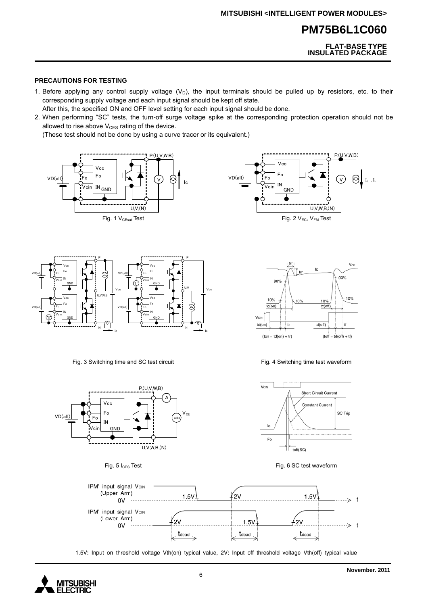**FLAT-BASE TYPE INSULATED PACKAGE**

#### **PRECAUTIONS FOR TESTING**

- 1. Before applying any control supply voltage  $(V_D)$ , the input terminals should be pulled up by resistors, etc. to their corresponding supply voltage and each input signal should be kept off state.
- After this, the specified ON and OFF level setting for each input signal should be done.
- 2. When performing "SC" tests, the turn-off surge voltage spike at the corresponding protection operation should not be allowed to rise above  $V_{CES}$  rating of the device.

(These test should not be done by using a curve tracer or its equivalent.)







Fig. 3 Switching time and SC test circuit Fig. 4 Switching time test waveform





1.5V: Input on threshold voltage Vth(on) typical value, 2V: Input off threshold voltage Vth(off) typical value

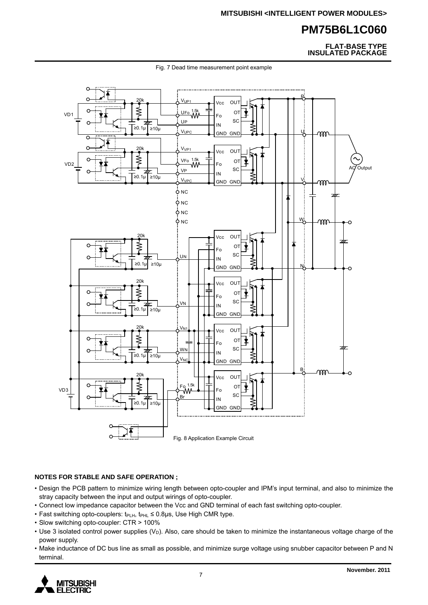**FLAT-BASE TYPE INSULATED PACKAGE**



Fig. 7 Dead time measurement point example

### **NOTES FOR STABLE AND SAFE OPERATION ;**

- Design the PCB pattern to minimize wiring length between opto-coupler and IPM's input terminal, and also to minimize the stray capacity between the input and output wirings of opto-coupler.
- Connect low impedance capacitor between the Vcc and GND terminal of each fast switching opto-coupler.
- Fast switching opto-couplers: t<sub>PLH</sub>, t<sub>PHL</sub> ≤ 0.8µs, Use High CMR type.
- Slow switching opto-coupler: CTR > 100%
- Use 3 isolated control power supplies  $(V_D)$ . Also, care should be taken to minimize the instantaneous voltage charge of the power supply.
- Make inductance of DC bus line as small as possible, and minimize surge voltage using snubber capacitor between P and N terminal.

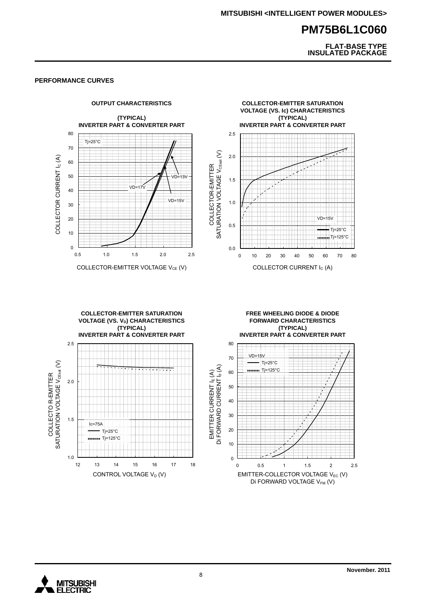**FLAT-BASE TYPE INSULATED PACKAGE**

#### **PERFORMANCE CURVES**



1.0

12 13 14 15 16 17 18

Tj=125°C

 $\mathbf{0}$ 10

CONTROL VOLTAGE  $V_D$  (V)  $E_M$  EMITTER-COLLECTOR VOLTAGE  $V_{EC}$  (V)

õ

0 0.5 1 1.5 2 2.5

DI FORWARD VOLTAGE V<sub>FM</sub> (V)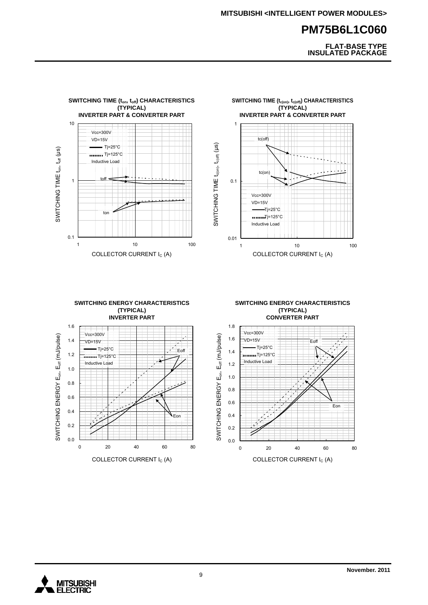

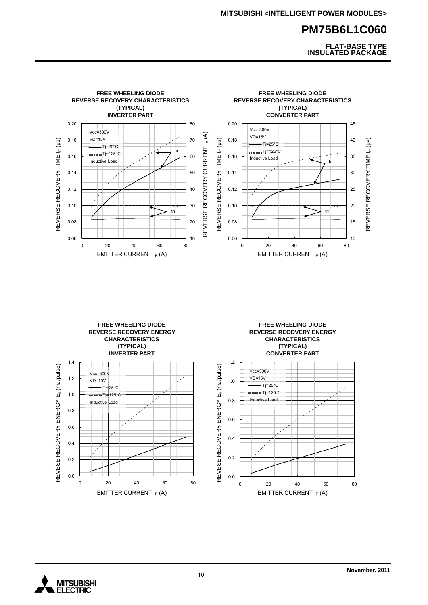



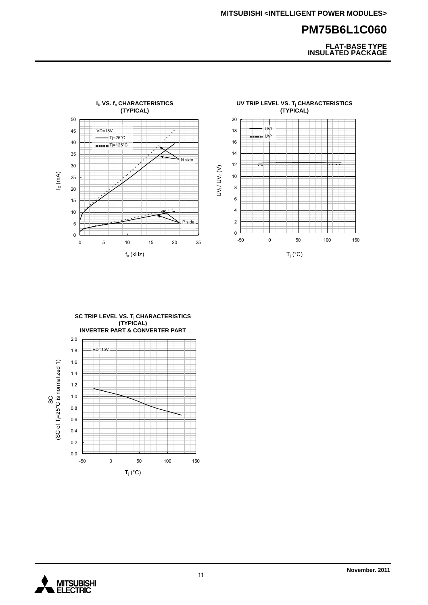



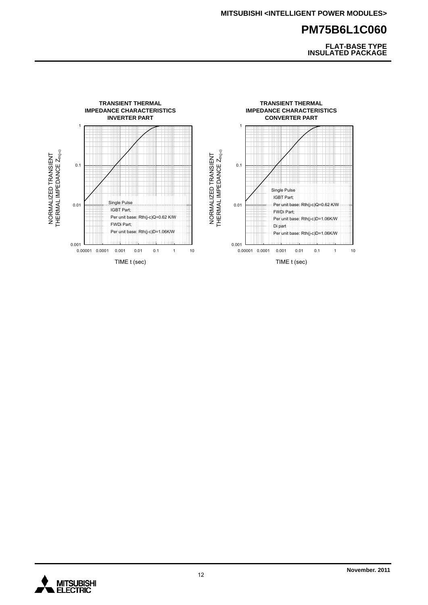

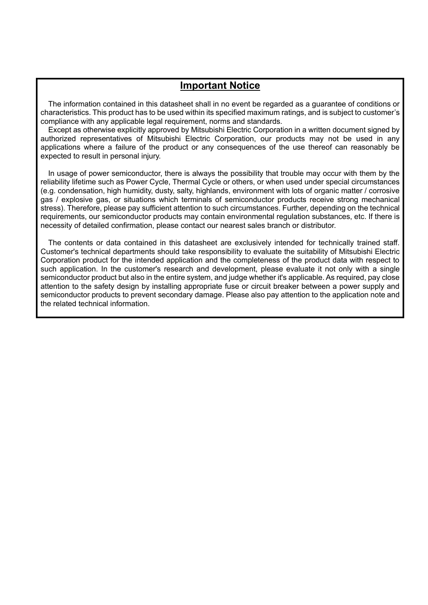### **Important Notice**

The information contained in this datasheet shall in no event be regarded as a guarantee of conditions or characteristics. This product has to be used within its specified maximum ratings, and is subject to customer's compliance with any applicable legal requirement, norms and standards.

Except as otherwise explicitly approved by Mitsubishi Electric Corporation in a written document signed by authorized representatives of Mitsubishi Electric Corporation, our products may not be used in any applications where a failure of the product or any consequences of the use thereof can reasonably be expected to result in personal injury.

In usage of power semiconductor, there is always the possibility that trouble may occur with them by the reliability lifetime such as Power Cycle, Thermal Cycle or others, or when used under special circumstances (e.g. condensation, high humidity, dusty, salty, highlands, environment with lots of organic matter / corrosive gas / explosive gas, or situations which terminals of semiconductor products receive strong mechanical stress). Therefore, please pay sufficient attention to such circumstances. Further, depending on the technical requirements, our semiconductor products may contain environmental regulation substances, etc. If there is necessity of detailed confirmation, please contact our nearest sales branch or distributor.

The contents or data contained in this datasheet are exclusively intended for technically trained staff. Customer's technical departments should take responsibility to evaluate the suitability of Mitsubishi Electric Corporation product for the intended application and the completeness of the product data with respect to such application. In the customer's research and development, please evaluate it not only with a single semiconductor product but also in the entire system, and judge whether it's applicable. As required, pay close attention to the safety design by installing appropriate fuse or circuit breaker between a power supply and semiconductor products to prevent secondary damage. Please also pay attention to the application note and the related technical information.